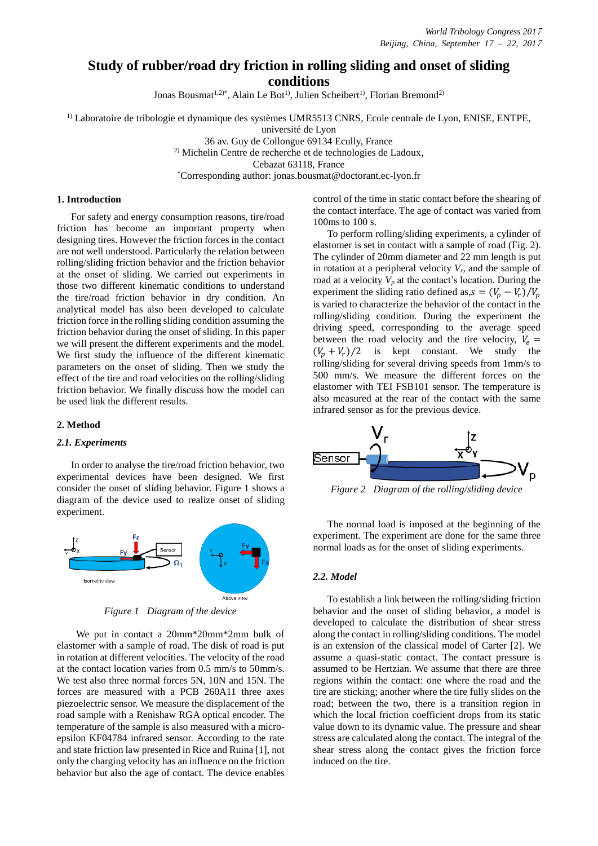# **Study of rubber/road dry friction in rolling sliding and onset of sliding conditions**

Jonas Bousmat<sup>1,2)\*</sup>, Alain Le Bot<sup>1)</sup>, Julien Scheibert<sup>1)</sup>, Florian Bremond<sup>2)</sup>

<sup>1)</sup> Laboratoire de tribologie et dynamique des systèmes UMR5513 CNRS, Ecole centrale de Lyon, ENISE, ENTPE,

université de Lyon

36 av. Guy de Collongue 69134 Ecully, France <sup>2)</sup> Michelin Centre de recherche et de technologies de Ladoux, Cebazat 63118, France

\*Corresponding author: jonas.bousmat@doctorant.ec-lyon.fr

## **1. Introduction**

For safety and energy consumption reasons, tire/road friction has become an important property when designing tires. However the friction forces in the contact are not well understood. Particularly the relation between rolling/sliding friction behavior and the friction behavior at the onset of sliding. We carried out experiments in those two different kinematic conditions to understand the tire/road friction behavior in dry condition. An analytical model has also been developed to calculate friction force in the rolling sliding condition assuming the friction behavior during the onset of sliding. In this paper we will present the different experiments and the model. We first study the influence of the different kinematic parameters on the onset of sliding. Then we study the effect of the tire and road velocities on the rolling/sliding friction behavior. We finally discuss how the model can be used link the different results.

#### **2. Method**

#### *2.1. Experiments*

In order to analyse the tire/road friction behavior, two experimental devices have been designed. We first consider the onset of sliding behavior. Figure 1 shows a diagram of the device used to realize onset of sliding experiment.



*Figure 1 Diagram of the device*

We put in contact a 20mm\*20mm\*2mm bulk of elastomer with a sample of road. The disk of road is put in rotation at different velocities. The velocity of the road at the contact location varies from 0.5 mm/s to 50mm/s. We test also three normal forces 5N, 10N and 15N. The forces are measured with a PCB 260A11 three axes piezoelectric sensor. We measure the displacement of the road sample with a Renishaw RGA optical encoder. The temperature of the sample is also measured with a microepsilon KF04784 infrared sensor. According to the rate and state friction law presented in Rice and Ruina [1], not only the charging velocity has an influence on the friction behavior but also the age of contact. The device enables

control of the time in static contact before the shearing of the contact interface. The age of contact was varied from 100ms to 100 s.

To perform rolling/sliding experiments, a cylinder of elastomer is set in contact with a sample of road (Fig. 2). The cylinder of 20mm diameter and 22 mm length is put in rotation at a peripheral velocity  $V_r$ , and the sample of road at a velocity  $V_p$  at the contact's location. During the experiment the sliding ratio defined as,  $s = (V_p - V_r)/V_p$ is varied to characterize the behavior of the contact in the rolling/sliding condition. During the experiment the driving speed, corresponding to the average speed between the road velocity and the tire velocity,  $V_e$  =  $(V_p + V_r)/2$  is kept constant. We study the rolling/sliding for several driving speeds from 1mm/s to 500 mm/s. We measure the different forces on the elastomer with TEI FSB101 sensor. The temperature is also measured at the rear of the contact with the same infrared sensor as for the previous device.



*Figure 2 Diagram of the rolling/sliding device*

The normal load is imposed at the beginning of the experiment. The experiment are done for the same three normal loads as for the onset of sliding experiments.

## *2.2. Model*

To establish a link between the rolling/sliding friction behavior and the onset of sliding behavior, a model is developed to calculate the distribution of shear stress along the contact in rolling/sliding conditions. The model is an extension of the classical model of Carter [2]. We assume a quasi-static contact. The contact pressure is assumed to be Hertzian. We assume that there are three regions within the contact: one where the road and the tire are sticking; another where the tire fully slides on the road; between the two, there is a transition region in which the local friction coefficient drops from its static value down to its dynamic value. The pressure and shear stress are calculated along the contact. The integral of the shear stress along the contact gives the friction force induced on the tire.